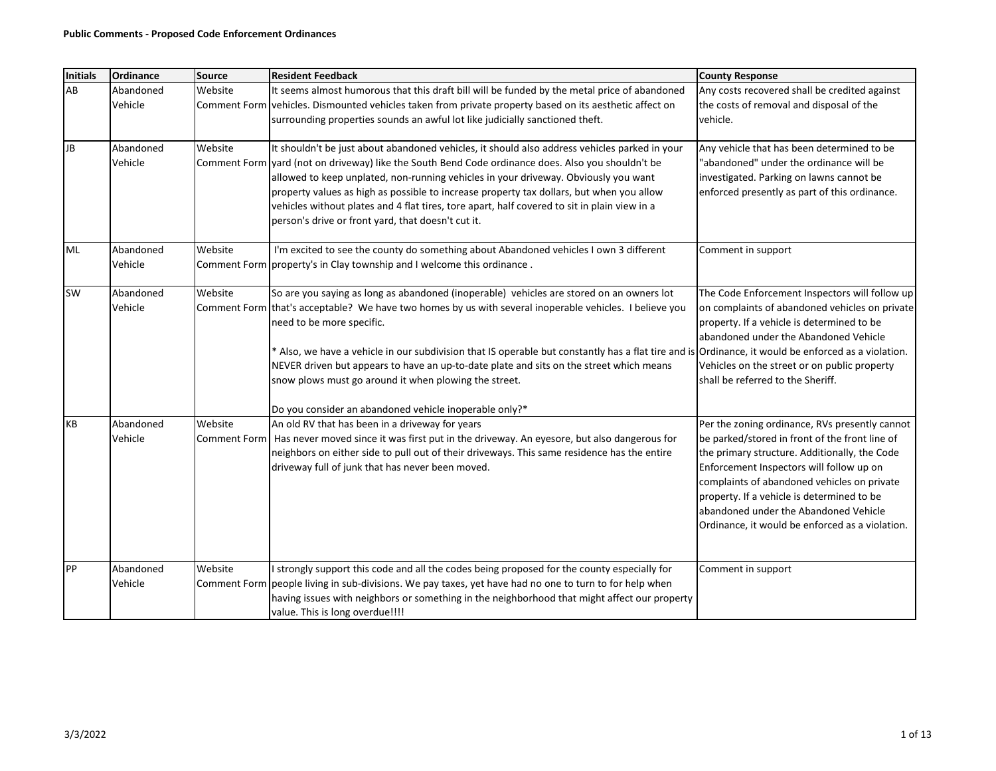| Initials  | Ordinance            | <b>Source</b>           | <b>Resident Feedback</b>                                                                                                                                                                                                                                                                                                                                                                                                                                                                                                                            | <b>County Response</b>                                                                                                                                                                                                                                                                                                                                                                 |
|-----------|----------------------|-------------------------|-----------------------------------------------------------------------------------------------------------------------------------------------------------------------------------------------------------------------------------------------------------------------------------------------------------------------------------------------------------------------------------------------------------------------------------------------------------------------------------------------------------------------------------------------------|----------------------------------------------------------------------------------------------------------------------------------------------------------------------------------------------------------------------------------------------------------------------------------------------------------------------------------------------------------------------------------------|
| AB        | Abandoned<br>Vehicle | Website                 | It seems almost humorous that this draft bill will be funded by the metal price of abandoned<br>Comment Form vehicles. Dismounted vehicles taken from private property based on its aesthetic affect on<br>surrounding properties sounds an awful lot like judicially sanctioned theft.                                                                                                                                                                                                                                                             | Any costs recovered shall be credited against<br>the costs of removal and disposal of the<br>vehicle.                                                                                                                                                                                                                                                                                  |
| <b>JB</b> | Abandoned<br>Vehicle | Website                 | It shouldn't be just about abandoned vehicles, it should also address vehicles parked in your<br>Comment Form vard (not on driveway) like the South Bend Code ordinance does. Also you shouldn't be<br>allowed to keep unplated, non-running vehicles in your driveway. Obviously you want<br>property values as high as possible to increase property tax dollars, but when you allow<br>vehicles without plates and 4 flat tires, tore apart, half covered to sit in plain view in a<br>person's drive or front yard, that doesn't cut it.        | Any vehicle that has been determined to be<br>"abandoned" under the ordinance will be<br>investigated. Parking on lawns cannot be<br>enforced presently as part of this ordinance.                                                                                                                                                                                                     |
| <b>ML</b> | Abandoned<br>Vehicle | Website                 | I'm excited to see the county do something about Abandoned vehicles I own 3 different<br>Comment Form property's in Clay township and I welcome this ordinance.                                                                                                                                                                                                                                                                                                                                                                                     | Comment in support                                                                                                                                                                                                                                                                                                                                                                     |
| SW        | Abandoned<br>Vehicle | Website                 | So are you saying as long as abandoned (inoperable) vehicles are stored on an owners lot<br>Comment Form that's acceptable? We have two homes by us with several inoperable vehicles. I believe you<br>need to be more specific.<br>Also, we have a vehicle in our subdivision that IS operable but constantly has a flat tire and is<br>NEVER driven but appears to have an up-to-date plate and sits on the street which means<br>snow plows must go around it when plowing the street.<br>Do you consider an abandoned vehicle inoperable only?* | The Code Enforcement Inspectors will follow up<br>on complaints of abandoned vehicles on private<br>property. If a vehicle is determined to be<br>abandoned under the Abandoned Vehicle<br>Ordinance, it would be enforced as a violation.<br>Vehicles on the street or on public property<br>shall be referred to the Sheriff.                                                        |
| KB        | Abandoned<br>Vehicle | Website<br>Comment Form | An old RV that has been in a driveway for years<br>Has never moved since it was first put in the driveway. An eyesore, but also dangerous for<br>neighbors on either side to pull out of their driveways. This same residence has the entire<br>driveway full of junk that has never been moved.                                                                                                                                                                                                                                                    | Per the zoning ordinance, RVs presently cannot<br>be parked/stored in front of the front line of<br>the primary structure. Additionally, the Code<br>Enforcement Inspectors will follow up on<br>complaints of abandoned vehicles on private<br>property. If a vehicle is determined to be<br>abandoned under the Abandoned Vehicle<br>Ordinance, it would be enforced as a violation. |
| PP        | Abandoned<br>Vehicle | Website                 | I strongly support this code and all the codes being proposed for the county especially for<br>Comment Form people living in sub-divisions. We pay taxes, yet have had no one to turn to for help when<br>having issues with neighbors or something in the neighborhood that might affect our property<br>value. This is long overdue!!!!                                                                                                                                                                                                           | Comment in support                                                                                                                                                                                                                                                                                                                                                                     |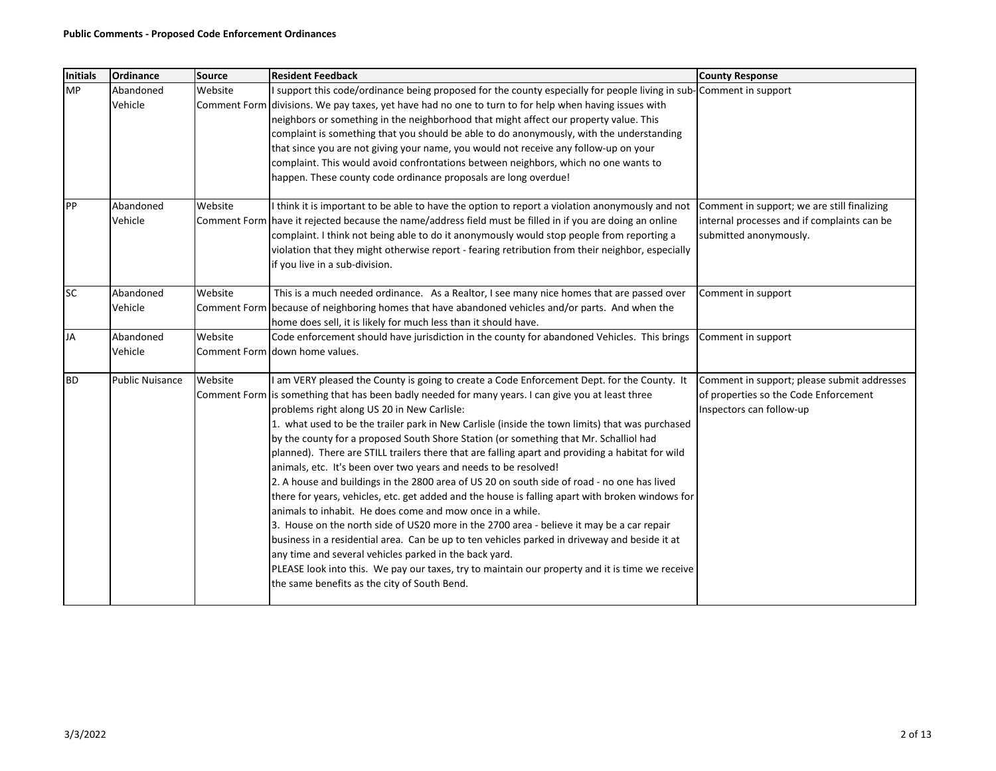| <b>Initials</b> | Ordinance              | <b>Source</b>           | <b>Resident Feedback</b>                                                                                                                                                                                                                                                                                                                                                                                                                                                                                                                                                                                                                                                                                                                                                                                                                                                                                                                                                                                                                                                                                                                                                                                                                                                                        | <b>County Response</b>                                                                                               |
|-----------------|------------------------|-------------------------|-------------------------------------------------------------------------------------------------------------------------------------------------------------------------------------------------------------------------------------------------------------------------------------------------------------------------------------------------------------------------------------------------------------------------------------------------------------------------------------------------------------------------------------------------------------------------------------------------------------------------------------------------------------------------------------------------------------------------------------------------------------------------------------------------------------------------------------------------------------------------------------------------------------------------------------------------------------------------------------------------------------------------------------------------------------------------------------------------------------------------------------------------------------------------------------------------------------------------------------------------------------------------------------------------|----------------------------------------------------------------------------------------------------------------------|
| <b>MP</b>       | Abandoned<br>Vehicle   | Website<br>Comment Form | I support this code/ordinance being proposed for the county especially for people living in sub-<br>divisions. We pay taxes, yet have had no one to turn to for help when having issues with<br>neighbors or something in the neighborhood that might affect our property value. This<br>complaint is something that you should be able to do anonymously, with the understanding<br>that since you are not giving your name, you would not receive any follow-up on your<br>complaint. This would avoid confrontations between neighbors, which no one wants to<br>happen. These county code ordinance proposals are long overdue!                                                                                                                                                                                                                                                                                                                                                                                                                                                                                                                                                                                                                                                             | Comment in support                                                                                                   |
| PP              | Abandoned<br>Vehicle   | Website                 | I think it is important to be able to have the option to report a violation anonymously and not<br>Comment Form have it rejected because the name/address field must be filled in if you are doing an online<br>complaint. I think not being able to do it anonymously would stop people from reporting a<br>violation that they might otherwise report - fearing retribution from their neighbor, especially<br>if you live in a sub-division.                                                                                                                                                                                                                                                                                                                                                                                                                                                                                                                                                                                                                                                                                                                                                                                                                                                 | Comment in support; we are still finalizing<br>internal processes and if complaints can be<br>submitted anonymously. |
| <b>SC</b>       | Abandoned<br>Vehicle   | Website                 | This is a much needed ordinance. As a Realtor, I see many nice homes that are passed over<br>Comment Form because of neighboring homes that have abandoned vehicles and/or parts. And when the<br>home does sell, it is likely for much less than it should have.                                                                                                                                                                                                                                                                                                                                                                                                                                                                                                                                                                                                                                                                                                                                                                                                                                                                                                                                                                                                                               | Comment in support                                                                                                   |
| <b>JA</b>       | Abandoned<br>Vehicle   | Website                 | Code enforcement should have jurisdiction in the county for abandoned Vehicles. This brings<br>Comment Form Idown home values.                                                                                                                                                                                                                                                                                                                                                                                                                                                                                                                                                                                                                                                                                                                                                                                                                                                                                                                                                                                                                                                                                                                                                                  | Comment in support                                                                                                   |
| <b>BD</b>       | <b>Public Nuisance</b> | Website                 | I am VERY pleased the County is going to create a Code Enforcement Dept. for the County. It<br>Comment Form is something that has been badly needed for many years. I can give you at least three<br>problems right along US 20 in New Carlisle:<br>1. what used to be the trailer park in New Carlisle (inside the town limits) that was purchased<br>by the county for a proposed South Shore Station (or something that Mr. Schalliol had<br>planned). There are STILL trailers there that are falling apart and providing a habitat for wild<br>animals, etc. It's been over two years and needs to be resolved!<br>2. A house and buildings in the 2800 area of US 20 on south side of road - no one has lived<br>there for years, vehicles, etc. get added and the house is falling apart with broken windows for<br>animals to inhabit. He does come and mow once in a while.<br>3. House on the north side of US20 more in the 2700 area - believe it may be a car repair<br>business in a residential area. Can be up to ten vehicles parked in driveway and beside it at<br>any time and several vehicles parked in the back yard.<br>PLEASE look into this. We pay our taxes, try to maintain our property and it is time we receive<br>the same benefits as the city of South Bend. | Comment in support; please submit addresses<br>of properties so the Code Enforcement<br>Inspectors can follow-up     |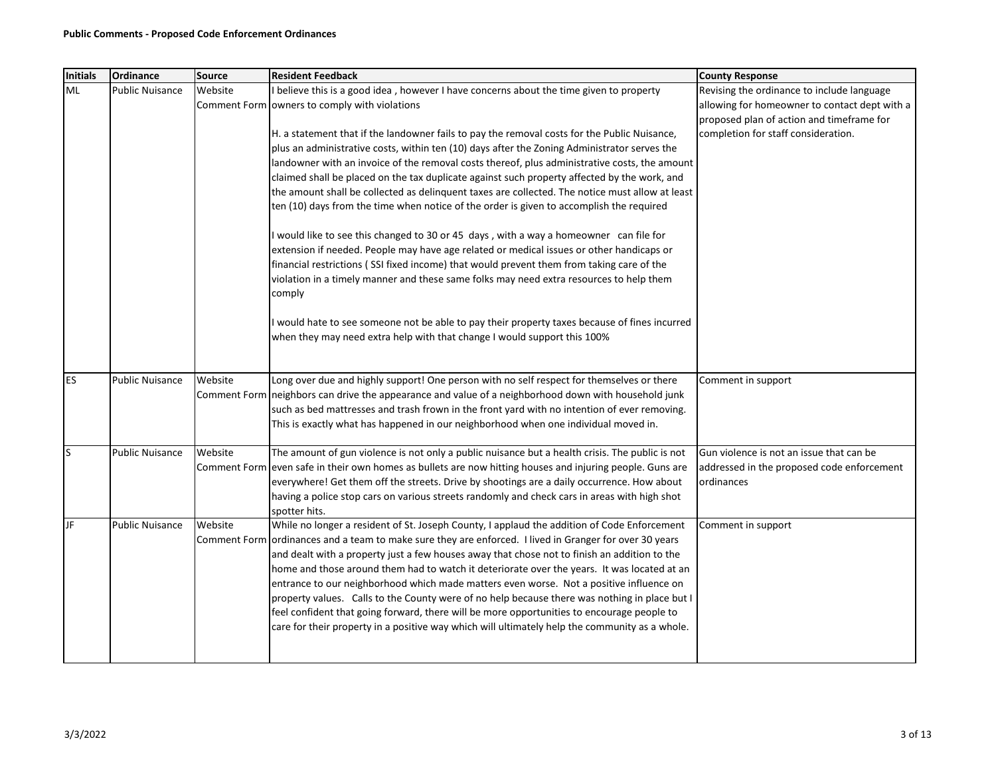| <b>Initials</b> | <b>Ordinance</b>       | <b>Source</b>           | <b>Resident Feedback</b>                                                                                                                                                                                                                                                                                                                                                                                                                                                                                                                                                                                                                                                                                                                                                             | <b>County Response</b>                                                                               |
|-----------------|------------------------|-------------------------|--------------------------------------------------------------------------------------------------------------------------------------------------------------------------------------------------------------------------------------------------------------------------------------------------------------------------------------------------------------------------------------------------------------------------------------------------------------------------------------------------------------------------------------------------------------------------------------------------------------------------------------------------------------------------------------------------------------------------------------------------------------------------------------|------------------------------------------------------------------------------------------------------|
| <b>ML</b>       | <b>Public Nuisance</b> | Website                 | believe this is a good idea, however I have concerns about the time given to property                                                                                                                                                                                                                                                                                                                                                                                                                                                                                                                                                                                                                                                                                                | Revising the ordinance to include language                                                           |
|                 |                        |                         | Comment Form owners to comply with violations                                                                                                                                                                                                                                                                                                                                                                                                                                                                                                                                                                                                                                                                                                                                        | allowing for homeowner to contact dept with a                                                        |
|                 |                        |                         |                                                                                                                                                                                                                                                                                                                                                                                                                                                                                                                                                                                                                                                                                                                                                                                      | proposed plan of action and timeframe for                                                            |
|                 |                        |                         | H. a statement that if the landowner fails to pay the removal costs for the Public Nuisance,                                                                                                                                                                                                                                                                                                                                                                                                                                                                                                                                                                                                                                                                                         | completion for staff consideration.                                                                  |
|                 |                        |                         | plus an administrative costs, within ten (10) days after the Zoning Administrator serves the                                                                                                                                                                                                                                                                                                                                                                                                                                                                                                                                                                                                                                                                                         |                                                                                                      |
|                 |                        |                         | landowner with an invoice of the removal costs thereof, plus administrative costs, the amount                                                                                                                                                                                                                                                                                                                                                                                                                                                                                                                                                                                                                                                                                        |                                                                                                      |
|                 |                        |                         | claimed shall be placed on the tax duplicate against such property affected by the work, and                                                                                                                                                                                                                                                                                                                                                                                                                                                                                                                                                                                                                                                                                         |                                                                                                      |
|                 |                        |                         | the amount shall be collected as delinquent taxes are collected. The notice must allow at least                                                                                                                                                                                                                                                                                                                                                                                                                                                                                                                                                                                                                                                                                      |                                                                                                      |
|                 |                        |                         | ten (10) days from the time when notice of the order is given to accomplish the required                                                                                                                                                                                                                                                                                                                                                                                                                                                                                                                                                                                                                                                                                             |                                                                                                      |
|                 |                        |                         | I would like to see this changed to 30 or 45 days, with a way a homeowner can file for                                                                                                                                                                                                                                                                                                                                                                                                                                                                                                                                                                                                                                                                                               |                                                                                                      |
|                 |                        |                         | extension if needed. People may have age related or medical issues or other handicaps or                                                                                                                                                                                                                                                                                                                                                                                                                                                                                                                                                                                                                                                                                             |                                                                                                      |
|                 |                        |                         | financial restrictions (SSI fixed income) that would prevent them from taking care of the                                                                                                                                                                                                                                                                                                                                                                                                                                                                                                                                                                                                                                                                                            |                                                                                                      |
|                 |                        |                         | violation in a timely manner and these same folks may need extra resources to help them<br>comply                                                                                                                                                                                                                                                                                                                                                                                                                                                                                                                                                                                                                                                                                    |                                                                                                      |
|                 |                        |                         | would hate to see someone not be able to pay their property taxes because of fines incurred<br>when they may need extra help with that change I would support this 100%                                                                                                                                                                                                                                                                                                                                                                                                                                                                                                                                                                                                              |                                                                                                      |
| <b>ES</b>       | <b>Public Nuisance</b> | Website                 | Long over due and highly support! One person with no self respect for themselves or there<br>Comment Form neighbors can drive the appearance and value of a neighborhood down with household junk<br>such as bed mattresses and trash frown in the front yard with no intention of ever removing.                                                                                                                                                                                                                                                                                                                                                                                                                                                                                    | Comment in support                                                                                   |
|                 |                        |                         | This is exactly what has happened in our neighborhood when one individual moved in.                                                                                                                                                                                                                                                                                                                                                                                                                                                                                                                                                                                                                                                                                                  |                                                                                                      |
| S               | <b>Public Nuisance</b> | Website                 | The amount of gun violence is not only a public nuisance but a health crisis. The public is not<br>Comment Form even safe in their own homes as bullets are now hitting houses and injuring people. Guns are<br>everywhere! Get them off the streets. Drive by shootings are a daily occurrence. How about<br>having a police stop cars on various streets randomly and check cars in areas with high shot<br>spotter hits.                                                                                                                                                                                                                                                                                                                                                          | Gun violence is not an issue that can be<br>addressed in the proposed code enforcement<br>ordinances |
| JF              | <b>Public Nuisance</b> | Website<br>Comment Form | While no longer a resident of St. Joseph County, I applaud the addition of Code Enforcement<br>ordinances and a team to make sure they are enforced. I lived in Granger for over 30 years<br>and dealt with a property just a few houses away that chose not to finish an addition to the<br>home and those around them had to watch it deteriorate over the years. It was located at an<br>entrance to our neighborhood which made matters even worse. Not a positive influence on<br>property values. Calls to the County were of no help because there was nothing in place but I<br>feel confident that going forward, there will be more opportunities to encourage people to<br>care for their property in a positive way which will ultimately help the community as a whole. | Comment in support                                                                                   |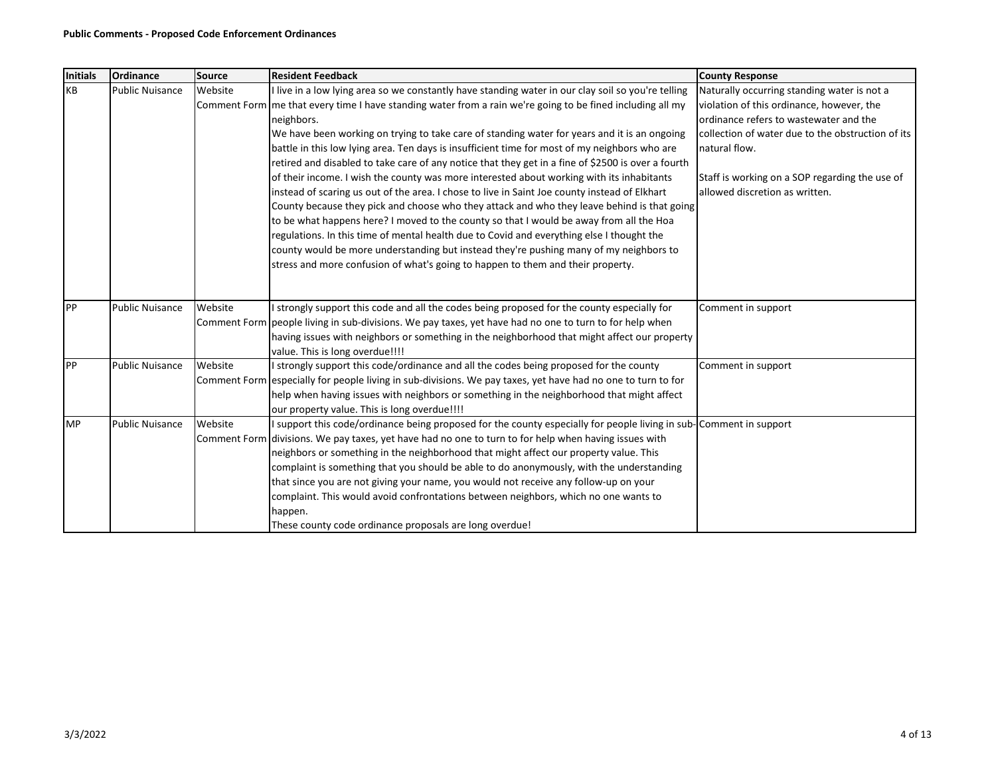| <b>Initials</b> | Ordinance              | Source  | <b>Resident Feedback</b>                                                                                                   | <b>County Response</b>                                                              |
|-----------------|------------------------|---------|----------------------------------------------------------------------------------------------------------------------------|-------------------------------------------------------------------------------------|
| KB              | <b>Public Nuisance</b> | Website | live in a low lying area so we constantly have standing water in our clay soil so you're telling                           | Naturally occurring standing water is not a                                         |
|                 |                        |         | Comment Form   me that every time I have standing water from a rain we're going to be fined including all my<br>neighbors. | violation of this ordinance, however, the<br>ordinance refers to wastewater and the |
|                 |                        |         | We have been working on trying to take care of standing water for years and it is an ongoing                               | collection of water due to the obstruction of its                                   |
|                 |                        |         | battle in this low lying area. Ten days is insufficient time for most of my neighbors who are                              | natural flow.                                                                       |
|                 |                        |         | retired and disabled to take care of any notice that they get in a fine of \$2500 is over a fourth                         |                                                                                     |
|                 |                        |         | of their income. I wish the county was more interested about working with its inhabitants                                  | Staff is working on a SOP regarding the use of                                      |
|                 |                        |         | instead of scaring us out of the area. I chose to live in Saint Joe county instead of Elkhart                              | allowed discretion as written.                                                      |
|                 |                        |         | County because they pick and choose who they attack and who they leave behind is that going                                |                                                                                     |
|                 |                        |         | to be what happens here? I moved to the county so that I would be away from all the Hoa                                    |                                                                                     |
|                 |                        |         | regulations. In this time of mental health due to Covid and everything else I thought the                                  |                                                                                     |
|                 |                        |         | county would be more understanding but instead they're pushing many of my neighbors to                                     |                                                                                     |
|                 |                        |         | stress and more confusion of what's going to happen to them and their property.                                            |                                                                                     |
|                 |                        |         |                                                                                                                            |                                                                                     |
| PP              | <b>Public Nuisance</b> | Website | strongly support this code and all the codes being proposed for the county especially for                                  | Comment in support                                                                  |
|                 |                        |         | Comment Form people living in sub-divisions. We pay taxes, yet have had no one to turn to for help when                    |                                                                                     |
|                 |                        |         | having issues with neighbors or something in the neighborhood that might affect our property                               |                                                                                     |
|                 |                        |         | value. This is long overdue!!!!                                                                                            |                                                                                     |
| PP              | <b>Public Nuisance</b> | Website | I strongly support this code/ordinance and all the codes being proposed for the county                                     | Comment in support                                                                  |
|                 |                        |         | Comment Form especially for people living in sub-divisions. We pay taxes, yet have had no one to turn to for               |                                                                                     |
|                 |                        |         | help when having issues with neighbors or something in the neighborhood that might affect                                  |                                                                                     |
|                 |                        |         | our property value. This is long overdue!!!!                                                                               |                                                                                     |
| <b>MP</b>       | <b>Public Nuisance</b> | Website | I support this code/ordinance being proposed for the county especially for people living in sub- Comment in support        |                                                                                     |
|                 |                        |         | Comment Form diivisions. We pay taxes, yet have had no one to turn to for help when having issues with                     |                                                                                     |
|                 |                        |         | neighbors or something in the neighborhood that might affect our property value. This                                      |                                                                                     |
|                 |                        |         | complaint is something that you should be able to do anonymously, with the understanding                                   |                                                                                     |
|                 |                        |         | that since you are not giving your name, you would not receive any follow-up on your                                       |                                                                                     |
|                 |                        |         | complaint. This would avoid confrontations between neighbors, which no one wants to                                        |                                                                                     |
|                 |                        |         | happen.                                                                                                                    |                                                                                     |
|                 |                        |         | These county code ordinance proposals are long overdue!                                                                    |                                                                                     |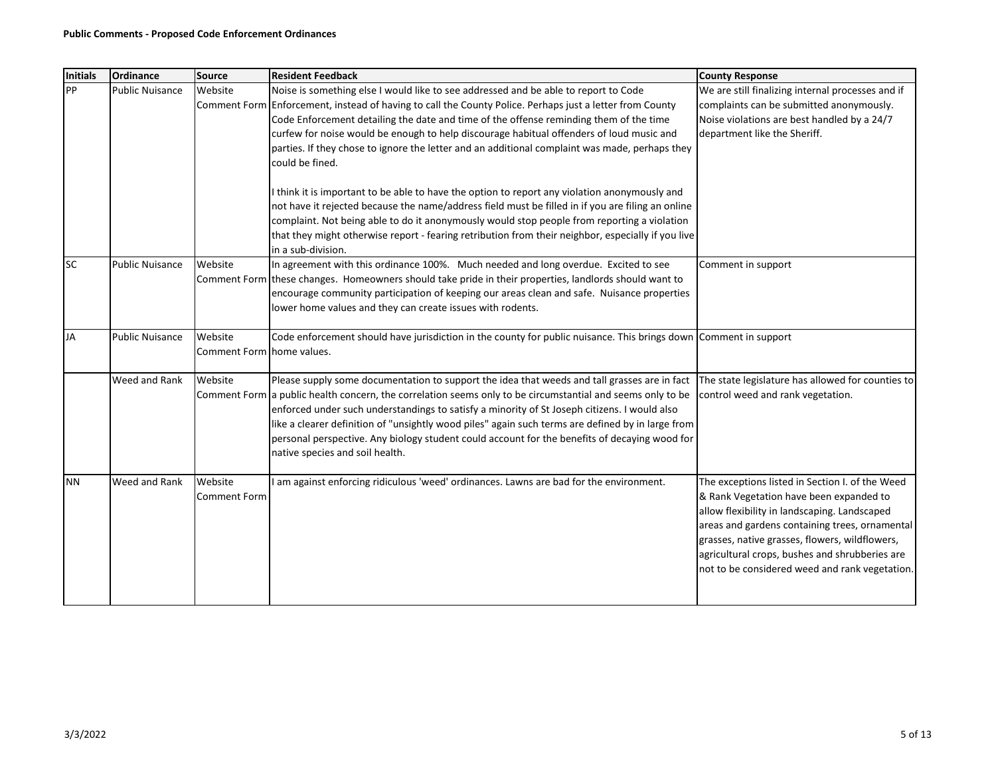| <b>Initials</b> | Ordinance              | Source                                | <b>Resident Feedback</b>                                                                                                                                                                                                                                                                                                                                                                                                                                                                                                                                                                                                                                                                                                                                                                                                                                                                                                                    | <b>County Response</b>                                                                                                                                                                                                                                                                                                                             |
|-----------------|------------------------|---------------------------------------|---------------------------------------------------------------------------------------------------------------------------------------------------------------------------------------------------------------------------------------------------------------------------------------------------------------------------------------------------------------------------------------------------------------------------------------------------------------------------------------------------------------------------------------------------------------------------------------------------------------------------------------------------------------------------------------------------------------------------------------------------------------------------------------------------------------------------------------------------------------------------------------------------------------------------------------------|----------------------------------------------------------------------------------------------------------------------------------------------------------------------------------------------------------------------------------------------------------------------------------------------------------------------------------------------------|
| PP              | <b>Public Nuisance</b> | Website                               | Noise is something else I would like to see addressed and be able to report to Code<br>Comment Form Enforcement, instead of having to call the County Police. Perhaps just a letter from County<br>Code Enforcement detailing the date and time of the offense reminding them of the time<br>curfew for noise would be enough to help discourage habitual offenders of loud music and<br>parties. If they chose to ignore the letter and an additional complaint was made, perhaps they<br>could be fined.<br>I think it is important to be able to have the option to report any violation anonymously and<br>not have it rejected because the name/address field must be filled in if you are filing an online<br>complaint. Not being able to do it anonymously would stop people from reporting a violation<br>that they might otherwise report - fearing retribution from their neighbor, especially if you live<br>in a sub-division. | We are still finalizing internal processes and if<br>complaints can be submitted anonymously.<br>Noise violations are best handled by a 24/7<br>department like the Sheriff.                                                                                                                                                                       |
| <b>SC</b>       | <b>Public Nuisance</b> | Website                               | In agreement with this ordinance 100%. Much needed and long overdue. Excited to see<br>Comment Form these changes. Homeowners should take pride in their properties, landlords should want to<br>encourage community participation of keeping our areas clean and safe. Nuisance properties<br>lower home values and they can create issues with rodents.                                                                                                                                                                                                                                                                                                                                                                                                                                                                                                                                                                                   | Comment in support                                                                                                                                                                                                                                                                                                                                 |
| <b>JA</b>       | <b>Public Nuisance</b> | Website<br>Comment Form Ihome values. | Code enforcement should have jurisdiction in the county for public nuisance. This brings down Comment in support                                                                                                                                                                                                                                                                                                                                                                                                                                                                                                                                                                                                                                                                                                                                                                                                                            |                                                                                                                                                                                                                                                                                                                                                    |
|                 | Weed and Rank          | Website                               | Please supply some documentation to support the idea that weeds and tall grasses are in fact<br>Comment Form a public health concern, the correlation seems only to be circumstantial and seems only to be<br>enforced under such understandings to satisfy a minority of St Joseph citizens. I would also<br>like a clearer definition of "unsightly wood piles" again such terms are defined by in large from<br>personal perspective. Any biology student could account for the benefits of decaying wood for<br>native species and soil health.                                                                                                                                                                                                                                                                                                                                                                                         | The state legislature has allowed for counties to<br>control weed and rank vegetation.                                                                                                                                                                                                                                                             |
| <b>NN</b>       | Weed and Rank          | Website<br><b>Comment Form</b>        | I am against enforcing ridiculous 'weed' ordinances. Lawns are bad for the environment.                                                                                                                                                                                                                                                                                                                                                                                                                                                                                                                                                                                                                                                                                                                                                                                                                                                     | The exceptions listed in Section I. of the Weed<br>& Rank Vegetation have been expanded to<br>allow flexibility in landscaping. Landscaped<br>areas and gardens containing trees, ornamental<br>grasses, native grasses, flowers, wildflowers,<br>agricultural crops, bushes and shrubberies are<br>not to be considered weed and rank vegetation. |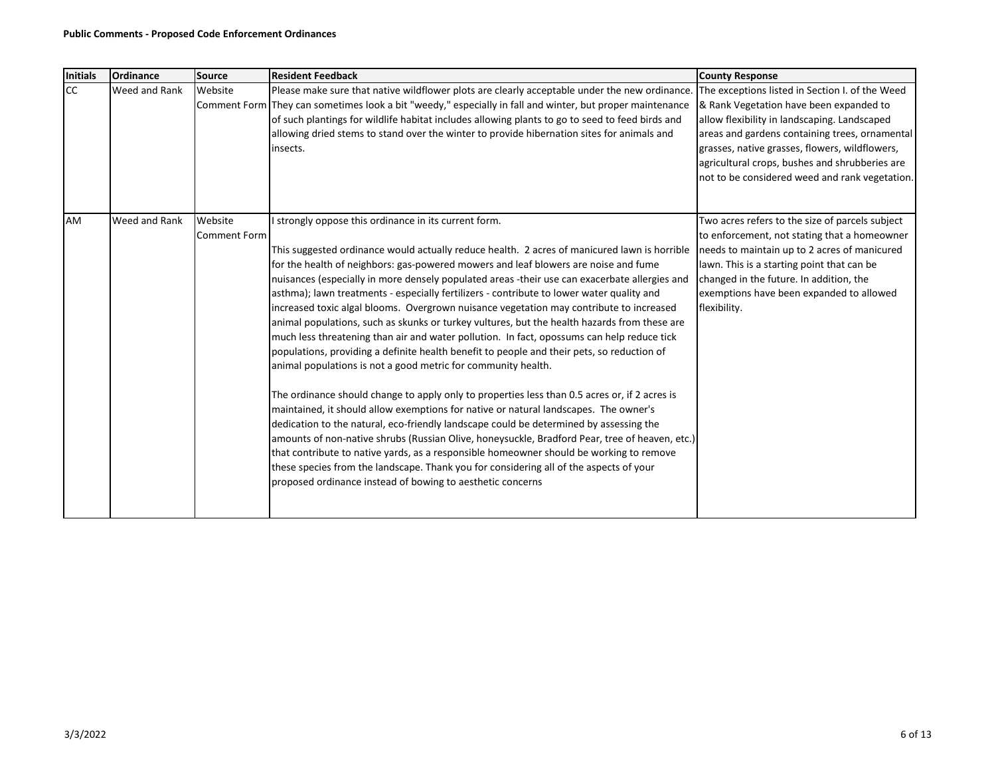| Initials  | Ordinance     | <b>Source</b>       | <b>Resident Feedback</b>                                                                                  | <b>County Response</b>                          |
|-----------|---------------|---------------------|-----------------------------------------------------------------------------------------------------------|-------------------------------------------------|
| <b>CC</b> | Weed and Rank | Website             | Please make sure that native wildflower plots are clearly acceptable under the new ordinance.             | The exceptions listed in Section I. of the Weed |
|           |               |                     | Comment Form They can sometimes look a bit "weedy," especially in fall and winter, but proper maintenance | & Rank Vegetation have been expanded to         |
|           |               |                     | of such plantings for wildlife habitat includes allowing plants to go to seed to feed birds and           | allow flexibility in landscaping. Landscaped    |
|           |               |                     | allowing dried stems to stand over the winter to provide hibernation sites for animals and                | areas and gardens containing trees, ornamental  |
|           |               |                     | linsects.                                                                                                 | grasses, native grasses, flowers, wildflowers,  |
|           |               |                     |                                                                                                           | agricultural crops, bushes and shrubberies are  |
|           |               |                     |                                                                                                           | not to be considered weed and rank vegetation.  |
|           |               |                     |                                                                                                           |                                                 |
| AM        | Weed and Rank | Website             | strongly oppose this ordinance in its current form.                                                       | Two acres refers to the size of parcels subject |
|           |               | <b>Comment Form</b> |                                                                                                           | to enforcement, not stating that a homeowner    |
|           |               |                     | This suggested ordinance would actually reduce health. 2 acres of manicured lawn is horrible              | needs to maintain up to 2 acres of manicured    |
|           |               |                     | for the health of neighbors: gas-powered mowers and leaf blowers are noise and fume                       | lawn. This is a starting point that can be      |
|           |               |                     | nuisances (especially in more densely populated areas -their use can exacerbate allergies and             | changed in the future. In addition, the         |
|           |               |                     | asthma); lawn treatments - especially fertilizers - contribute to lower water quality and                 | exemptions have been expanded to allowed        |
|           |               |                     | increased toxic algal blooms. Overgrown nuisance vegetation may contribute to increased                   | flexibility.                                    |
|           |               |                     | animal populations, such as skunks or turkey vultures, but the health hazards from these are              |                                                 |
|           |               |                     | much less threatening than air and water pollution. In fact, opossums can help reduce tick                |                                                 |
|           |               |                     | populations, providing a definite health benefit to people and their pets, so reduction of                |                                                 |
|           |               |                     | animal populations is not a good metric for community health.                                             |                                                 |
|           |               |                     | The ordinance should change to apply only to properties less than 0.5 acres or, if 2 acres is             |                                                 |
|           |               |                     | maintained, it should allow exemptions for native or natural landscapes. The owner's                      |                                                 |
|           |               |                     | dedication to the natural, eco-friendly landscape could be determined by assessing the                    |                                                 |
|           |               |                     | amounts of non-native shrubs (Russian Olive, honeysuckle, Bradford Pear, tree of heaven, etc.)            |                                                 |
|           |               |                     | that contribute to native yards, as a responsible homeowner should be working to remove                   |                                                 |
|           |               |                     | these species from the landscape. Thank you for considering all of the aspects of your                    |                                                 |
|           |               |                     | proposed ordinance instead of bowing to aesthetic concerns                                                |                                                 |
|           |               |                     |                                                                                                           |                                                 |
|           |               |                     |                                                                                                           |                                                 |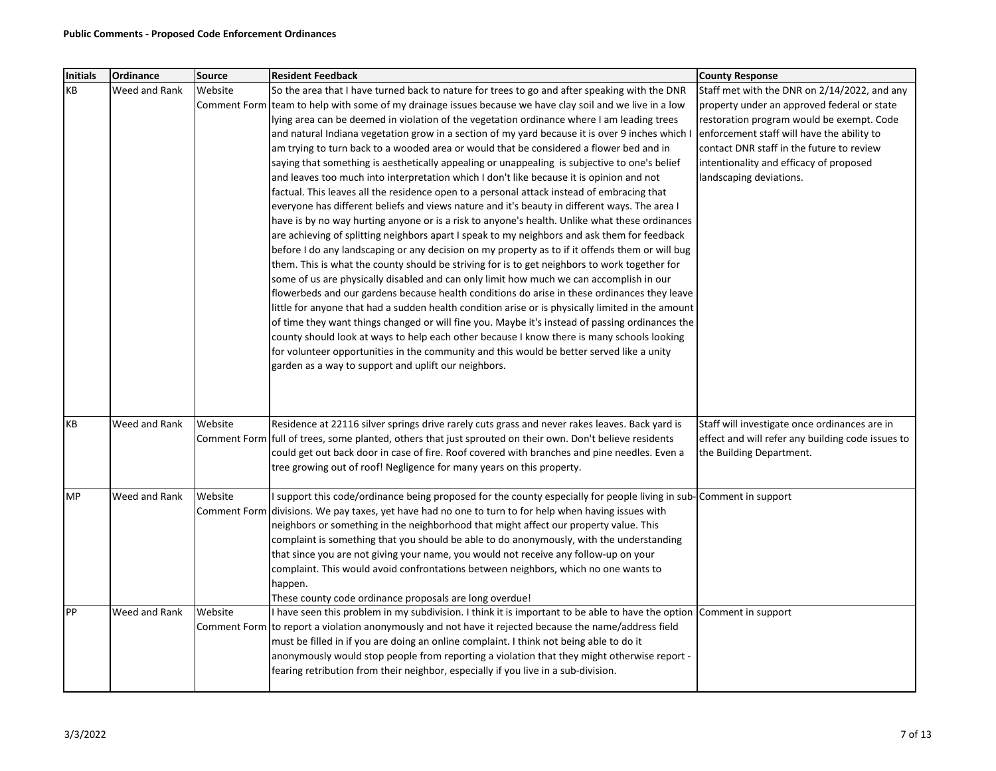| <b>Initials</b> | Ordinance     | <b>Source</b> | <b>Resident Feedback</b>                                                                                                                                                                      | <b>County Response</b>                            |
|-----------------|---------------|---------------|-----------------------------------------------------------------------------------------------------------------------------------------------------------------------------------------------|---------------------------------------------------|
| KВ              | Weed and Rank | Website       | So the area that I have turned back to nature for trees to go and after speaking with the DNR                                                                                                 | Staff met with the DNR on 2/14/2022, and any      |
|                 |               |               | Comment Form team to help with some of my drainage issues because we have clay soil and we live in a low                                                                                      | property under an approved federal or state       |
|                 |               |               | lying area can be deemed in violation of the vegetation ordinance where I am leading trees                                                                                                    | restoration program would be exempt. Code         |
|                 |               |               | and natural Indiana vegetation grow in a section of my yard because it is over 9 inches which I                                                                                               | enforcement staff will have the ability to        |
|                 |               |               | am trying to turn back to a wooded area or would that be considered a flower bed and in                                                                                                       | contact DNR staff in the future to review         |
|                 |               |               | saying that something is aesthetically appealing or unappealing is subjective to one's belief                                                                                                 | intentionality and efficacy of proposed           |
|                 |               |               | and leaves too much into interpretation which I don't like because it is opinion and not                                                                                                      | landscaping deviations.                           |
|                 |               |               | factual. This leaves all the residence open to a personal attack instead of embracing that                                                                                                    |                                                   |
|                 |               |               | everyone has different beliefs and views nature and it's beauty in different ways. The area I                                                                                                 |                                                   |
|                 |               |               | have is by no way hurting anyone or is a risk to anyone's health. Unlike what these ordinances                                                                                                |                                                   |
|                 |               |               | are achieving of splitting neighbors apart I speak to my neighbors and ask them for feedback                                                                                                  |                                                   |
|                 |               |               | before I do any landscaping or any decision on my property as to if it offends them or will bug                                                                                               |                                                   |
|                 |               |               | them. This is what the county should be striving for is to get neighbors to work together for                                                                                                 |                                                   |
|                 |               |               | some of us are physically disabled and can only limit how much we can accomplish in our                                                                                                       |                                                   |
|                 |               |               | flowerbeds and our gardens because health conditions do arise in these ordinances they leave                                                                                                  |                                                   |
|                 |               |               | little for anyone that had a sudden health condition arise or is physically limited in the amount                                                                                             |                                                   |
|                 |               |               | of time they want things changed or will fine you. Maybe it's instead of passing ordinances the<br>county should look at ways to help each other because I know there is many schools looking |                                                   |
|                 |               |               | for volunteer opportunities in the community and this would be better served like a unity                                                                                                     |                                                   |
|                 |               |               | garden as a way to support and uplift our neighbors.                                                                                                                                          |                                                   |
|                 |               |               |                                                                                                                                                                                               |                                                   |
|                 |               |               |                                                                                                                                                                                               |                                                   |
|                 |               |               |                                                                                                                                                                                               |                                                   |
| KB              | Weed and Rank | Website       | Residence at 22116 silver springs drive rarely cuts grass and never rakes leaves. Back yard is                                                                                                | Staff will investigate once ordinances are in     |
|                 |               |               | Comment Form full of trees, some planted, others that just sprouted on their own. Don't believe residents                                                                                     | effect and will refer any building code issues to |
|                 |               |               | could get out back door in case of fire. Roof covered with branches and pine needles. Even a                                                                                                  | the Building Department.                          |
|                 |               |               | tree growing out of roof! Negligence for many years on this property.                                                                                                                         |                                                   |
| MP              | Weed and Rank | Website       | I support this code/ordinance being proposed for the county especially for people living in sub-Comment in support                                                                            |                                                   |
|                 |               |               | Comment Form divisions. We pay taxes, yet have had no one to turn to for help when having issues with                                                                                         |                                                   |
|                 |               |               | neighbors or something in the neighborhood that might affect our property value. This                                                                                                         |                                                   |
|                 |               |               | complaint is something that you should be able to do anonymously, with the understanding                                                                                                      |                                                   |
|                 |               |               | that since you are not giving your name, you would not receive any follow-up on your                                                                                                          |                                                   |
|                 |               |               | complaint. This would avoid confrontations between neighbors, which no one wants to                                                                                                           |                                                   |
|                 |               |               | happen.                                                                                                                                                                                       |                                                   |
|                 |               |               | These county code ordinance proposals are long overdue!                                                                                                                                       |                                                   |
| PP              | Weed and Rank | Website       | I have seen this problem in my subdivision. I think it is important to be able to have the option Comment in support                                                                          |                                                   |
|                 |               |               | Comment Form to report a violation anonymously and not have it rejected because the name/address field                                                                                        |                                                   |
|                 |               |               | must be filled in if you are doing an online complaint. I think not being able to do it                                                                                                       |                                                   |
|                 |               |               | anonymously would stop people from reporting a violation that they might otherwise report -                                                                                                   |                                                   |
|                 |               |               | fearing retribution from their neighbor, especially if you live in a sub-division.                                                                                                            |                                                   |
|                 |               |               |                                                                                                                                                                                               |                                                   |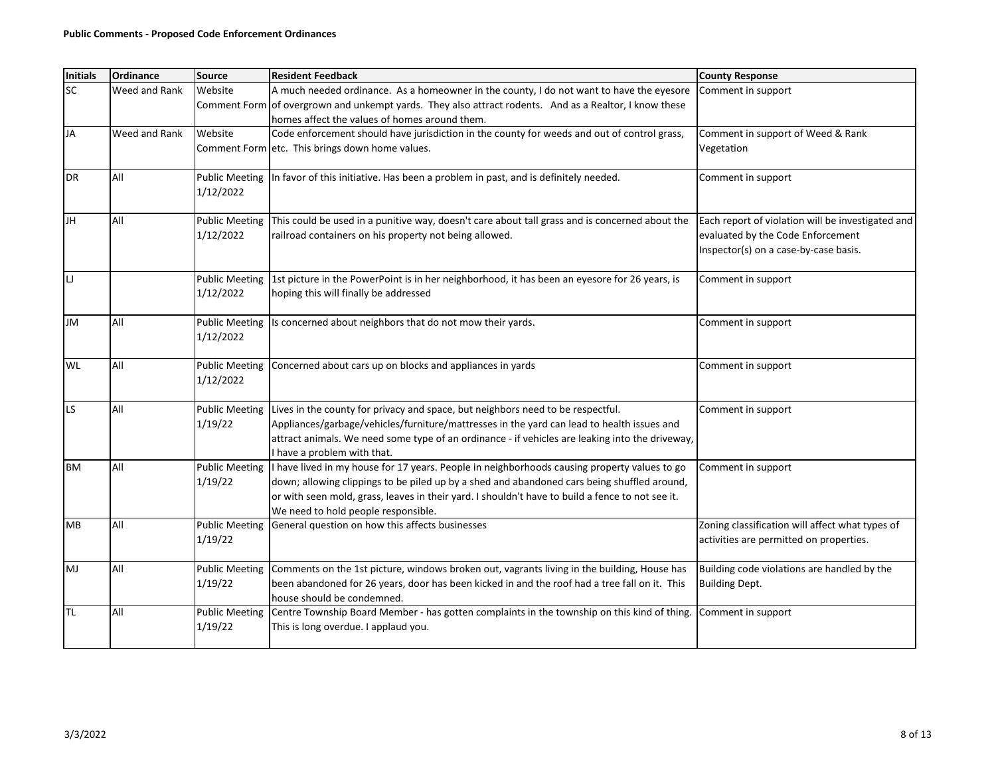| <b>Initials</b> | <b>Ordinance</b> | <b>Source</b>                      | <b>Resident Feedback</b>                                                                                                                                                                                                                                                                                                               | <b>County Response</b>                                                                                                          |
|-----------------|------------------|------------------------------------|----------------------------------------------------------------------------------------------------------------------------------------------------------------------------------------------------------------------------------------------------------------------------------------------------------------------------------------|---------------------------------------------------------------------------------------------------------------------------------|
| SC              | Weed and Rank    | Website<br>Comment Form            | A much needed ordinance. As a homeowner in the county, I do not want to have the eyesore<br>of overgrown and unkempt yards. They also attract rodents. And as a Realtor, I know these<br>homes affect the values of homes around them.                                                                                                 | Comment in support                                                                                                              |
| JA              | Weed and Rank    | Website                            | Code enforcement should have jurisdiction in the county for weeds and out of control grass,<br>Comment Form etc. This brings down home values.                                                                                                                                                                                         | Comment in support of Weed & Rank<br>Vegetation                                                                                 |
| <b>DR</b>       | All              | <b>Public Meeting</b><br>1/12/2022 | In favor of this initiative. Has been a problem in past, and is definitely needed.                                                                                                                                                                                                                                                     | Comment in support                                                                                                              |
| JH              | All              | <b>Public Meeting</b><br>1/12/2022 | This could be used in a punitive way, doesn't care about tall grass and is concerned about the<br>railroad containers on his property not being allowed.                                                                                                                                                                               | Each report of violation will be investigated and<br>evaluated by the Code Enforcement<br>Inspector(s) on a case-by-case basis. |
| IJ              |                  | <b>Public Meeting</b><br>1/12/2022 | 1st picture in the PowerPoint is in her neighborhood, it has been an eyesore for 26 years, is<br>hoping this will finally be addressed                                                                                                                                                                                                 | Comment in support                                                                                                              |
| JM              | All              | <b>Public Meeting</b><br>1/12/2022 | Is concerned about neighbors that do not mow their yards.                                                                                                                                                                                                                                                                              | Comment in support                                                                                                              |
| WL              | All              | <b>Public Meeting</b><br>1/12/2022 | Concerned about cars up on blocks and appliances in yards                                                                                                                                                                                                                                                                              | Comment in support                                                                                                              |
| LS              | All              | <b>Public Meeting</b><br>1/19/22   | Lives in the county for privacy and space, but neighbors need to be respectful.<br>Appliances/garbage/vehicles/furniture/mattresses in the yard can lead to health issues and<br>attract animals. We need some type of an ordinance - if vehicles are leaking into the driveway,<br>I have a problem with that.                        | Comment in support                                                                                                              |
| <b>BM</b>       | All              | <b>Public Meeting</b><br>1/19/22   | I have lived in my house for 17 years. People in neighborhoods causing property values to go<br>down; allowing clippings to be piled up by a shed and abandoned cars being shuffled around,<br>or with seen mold, grass, leaves in their yard. I shouldn't have to build a fence to not see it.<br>We need to hold people responsible. | Comment in support                                                                                                              |
| MB              | All              | <b>Public Meeting</b><br>1/19/22   | General question on how this affects businesses                                                                                                                                                                                                                                                                                        | Zoning classification will affect what types of<br>activities are permitted on properties.                                      |
| MJ              | All              | <b>Public Meeting</b><br>1/19/22   | Comments on the 1st picture, windows broken out, vagrants living in the building, House has<br>been abandoned for 26 years, door has been kicked in and the roof had a tree fall on it. This<br>house should be condemned.                                                                                                             | Building code violations are handled by the<br><b>Building Dept.</b>                                                            |
| TL              | All              | <b>Public Meeting</b><br>1/19/22   | Centre Township Board Member - has gotten complaints in the township on this kind of thing.<br>This is long overdue. I applaud you.                                                                                                                                                                                                    | Comment in support                                                                                                              |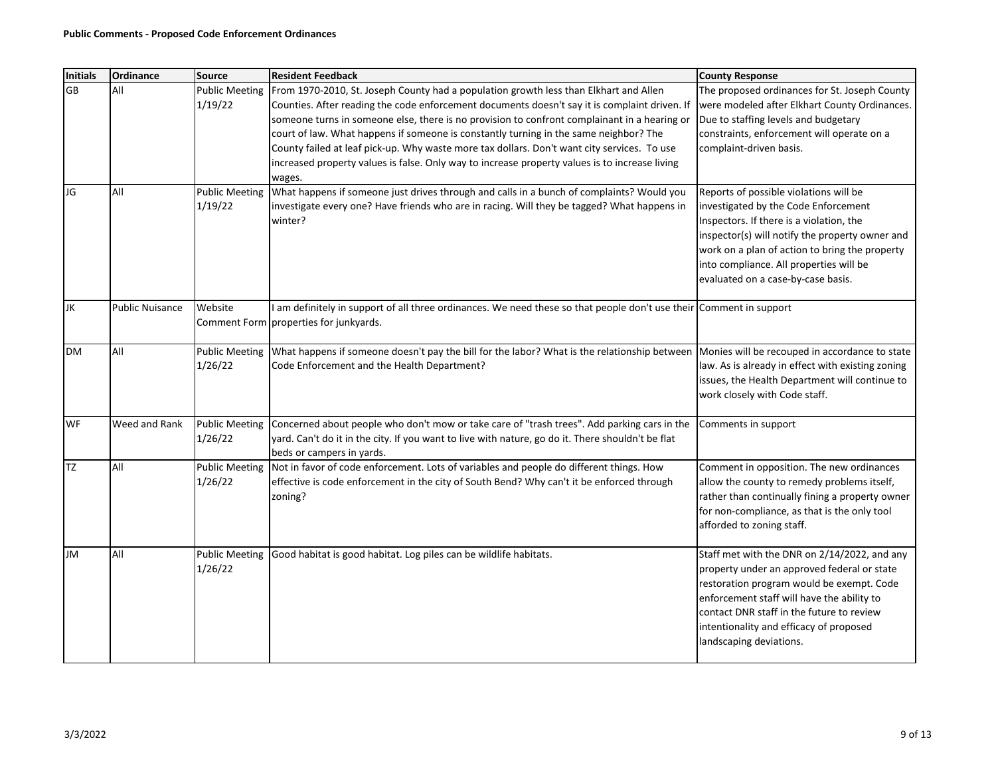| <b>Initials</b> | Ordinance              | <b>Source</b>                    | <b>Resident Feedback</b>                                                                                                                                                                                                                                                                                                                                                                                                                                                                                                                                                                   | <b>County Response</b>                                                                                                                                                                                                                                                                                           |
|-----------------|------------------------|----------------------------------|--------------------------------------------------------------------------------------------------------------------------------------------------------------------------------------------------------------------------------------------------------------------------------------------------------------------------------------------------------------------------------------------------------------------------------------------------------------------------------------------------------------------------------------------------------------------------------------------|------------------------------------------------------------------------------------------------------------------------------------------------------------------------------------------------------------------------------------------------------------------------------------------------------------------|
| <b>GB</b>       | All                    | <b>Public Meeting</b><br>1/19/22 | From 1970-2010, St. Joseph County had a population growth less than Elkhart and Allen<br>Counties. After reading the code enforcement documents doesn't say it is complaint driven. If<br>someone turns in someone else, there is no provision to confront complainant in a hearing or<br>court of law. What happens if someone is constantly turning in the same neighbor? The<br>County failed at leaf pick-up. Why waste more tax dollars. Don't want city services. To use<br>increased property values is false. Only way to increase property values is to increase living<br>wages. | The proposed ordinances for St. Joseph County<br>were modeled after Elkhart County Ordinances.<br>Due to staffing levels and budgetary<br>constraints, enforcement will operate on a<br>complaint-driven basis.                                                                                                  |
| JG              | All                    | Public Meeting<br>1/19/22        | What happens if someone just drives through and calls in a bunch of complaints? Would you<br>investigate every one? Have friends who are in racing. Will they be tagged? What happens in<br>winter?                                                                                                                                                                                                                                                                                                                                                                                        | Reports of possible violations will be<br>investigated by the Code Enforcement<br>Inspectors. If there is a violation, the<br>inspector(s) will notify the property owner and<br>work on a plan of action to bring the property<br>into compliance. All properties will be<br>evaluated on a case-by-case basis. |
| JK              | <b>Public Nuisance</b> | Website                          | I am definitely in support of all three ordinances. We need these so that people don't use their Comment in support<br>Comment Form properties for junkyards.                                                                                                                                                                                                                                                                                                                                                                                                                              |                                                                                                                                                                                                                                                                                                                  |
| <b>DM</b>       | All                    | <b>Public Meeting</b><br>1/26/22 | What happens if someone doesn't pay the bill for the labor? What is the relationship between Monies will be recouped in accordance to state<br>Code Enforcement and the Health Department?                                                                                                                                                                                                                                                                                                                                                                                                 | law. As is already in effect with existing zoning<br>issues, the Health Department will continue to<br>work closely with Code staff.                                                                                                                                                                             |
| WF              | Weed and Rank          | <b>Public Meeting</b><br>1/26/22 | Concerned about people who don't mow or take care of "trash trees". Add parking cars in the<br>yard. Can't do it in the city. If you want to live with nature, go do it. There shouldn't be flat<br>beds or campers in yards.                                                                                                                                                                                                                                                                                                                                                              | Comments in support                                                                                                                                                                                                                                                                                              |
| <b>TZ</b>       | All                    | <b>Public Meeting</b><br>1/26/22 | Not in favor of code enforcement. Lots of variables and people do different things. How<br>effective is code enforcement in the city of South Bend? Why can't it be enforced through<br>zoning?                                                                                                                                                                                                                                                                                                                                                                                            | Comment in opposition. The new ordinances<br>allow the county to remedy problems itself,<br>rather than continually fining a property owner<br>for non-compliance, as that is the only tool<br>afforded to zoning staff.                                                                                         |
| JM              | All                    | <b>Public Meeting</b><br>1/26/22 | Good habitat is good habitat. Log piles can be wildlife habitats.                                                                                                                                                                                                                                                                                                                                                                                                                                                                                                                          | Staff met with the DNR on 2/14/2022, and any<br>property under an approved federal or state<br>restoration program would be exempt. Code<br>enforcement staff will have the ability to<br>contact DNR staff in the future to review<br>intentionality and efficacy of proposed<br>landscaping deviations.        |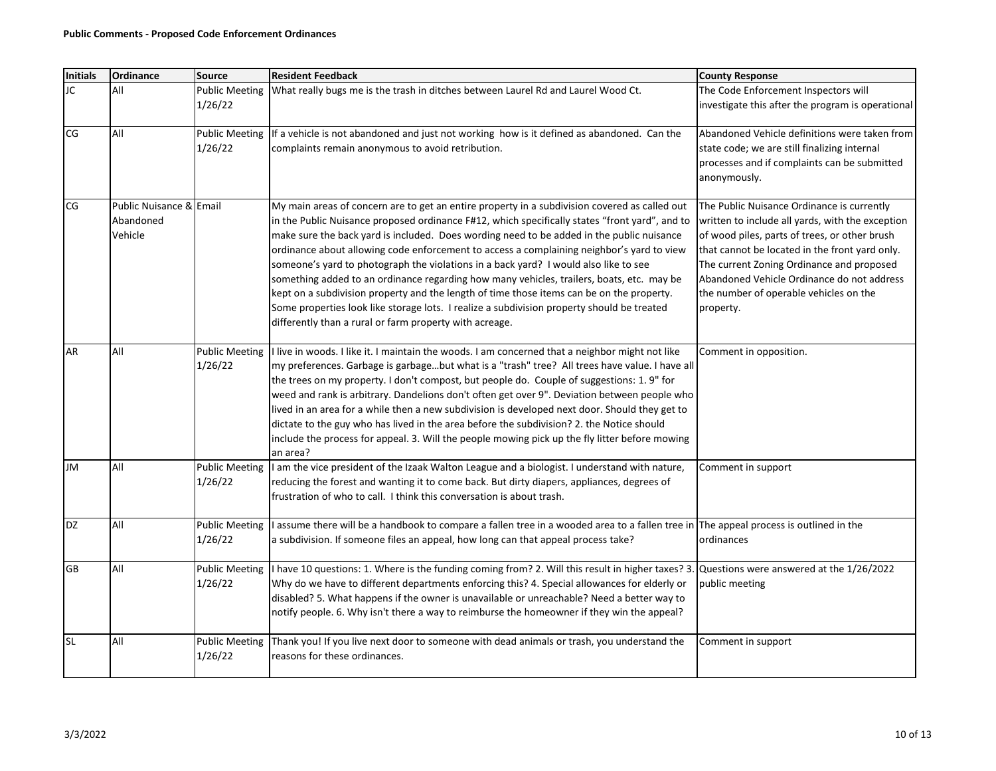| <b>Initials</b> | Ordinance                                       | <b>Source</b>                    | <b>Resident Feedback</b>                                                                                                                                                                                                                                                                                                                                                                                                                                                                                                                                                                                                                                                                                                                                                                                                             | <b>County Response</b>                                                                                                                                                                                                                                                                                                                              |
|-----------------|-------------------------------------------------|----------------------------------|--------------------------------------------------------------------------------------------------------------------------------------------------------------------------------------------------------------------------------------------------------------------------------------------------------------------------------------------------------------------------------------------------------------------------------------------------------------------------------------------------------------------------------------------------------------------------------------------------------------------------------------------------------------------------------------------------------------------------------------------------------------------------------------------------------------------------------------|-----------------------------------------------------------------------------------------------------------------------------------------------------------------------------------------------------------------------------------------------------------------------------------------------------------------------------------------------------|
| JC              | All                                             | <b>Public Meeting</b><br>1/26/22 | What really bugs me is the trash in ditches between Laurel Rd and Laurel Wood Ct.                                                                                                                                                                                                                                                                                                                                                                                                                                                                                                                                                                                                                                                                                                                                                    | The Code Enforcement Inspectors will<br>investigate this after the program is operational                                                                                                                                                                                                                                                           |
| CG              | All                                             | <b>Public Meeting</b><br>1/26/22 | If a vehicle is not abandoned and just not working how is it defined as abandoned. Can the<br>complaints remain anonymous to avoid retribution.                                                                                                                                                                                                                                                                                                                                                                                                                                                                                                                                                                                                                                                                                      | Abandoned Vehicle definitions were taken from<br>state code; we are still finalizing internal<br>processes and if complaints can be submitted<br>anonymously.                                                                                                                                                                                       |
| CG              | Public Nuisance & Email<br>Abandoned<br>Vehicle |                                  | My main areas of concern are to get an entire property in a subdivision covered as called out<br>in the Public Nuisance proposed ordinance F#12, which specifically states "front yard", and to<br>make sure the back yard is included. Does wording need to be added in the public nuisance<br>ordinance about allowing code enforcement to access a complaining neighbor's yard to view<br>someone's yard to photograph the violations in a back yard? I would also like to see<br>something added to an ordinance regarding how many vehicles, trailers, boats, etc. may be<br>kept on a subdivision property and the length of time those items can be on the property.<br>Some properties look like storage lots. I realize a subdivision property should be treated<br>differently than a rural or farm property with acreage. | The Public Nuisance Ordinance is currently<br>written to include all yards, with the exception<br>of wood piles, parts of trees, or other brush<br>that cannot be located in the front yard only.<br>The current Zoning Ordinance and proposed<br>Abandoned Vehicle Ordinance do not address<br>the number of operable vehicles on the<br>property. |
| AR              | All                                             | <b>Public Meeting</b><br>1/26/22 | I live in woods. I like it. I maintain the woods. I am concerned that a neighbor might not like<br>my preferences. Garbage is garbagebut what is a "trash" tree? All trees have value. I have all<br>the trees on my property. I don't compost, but people do. Couple of suggestions: 1.9" for<br>weed and rank is arbitrary. Dandelions don't often get over 9". Deviation between people who<br>lived in an area for a while then a new subdivision is developed next door. Should they get to<br>dictate to the guy who has lived in the area before the subdivision? 2. the Notice should<br>include the process for appeal. 3. Will the people mowing pick up the fly litter before mowing<br>an area?                                                                                                                          | Comment in opposition.                                                                                                                                                                                                                                                                                                                              |
| <b>JM</b>       | All                                             | <b>Public Meeting</b><br>1/26/22 | I am the vice president of the Izaak Walton League and a biologist. I understand with nature,<br>reducing the forest and wanting it to come back. But dirty diapers, appliances, degrees of<br>frustration of who to call. I think this conversation is about trash.                                                                                                                                                                                                                                                                                                                                                                                                                                                                                                                                                                 | Comment in support                                                                                                                                                                                                                                                                                                                                  |
| <b>DZ</b>       | All                                             | <b>Public Meeting</b><br>1/26/22 | assume there will be a handbook to compare a fallen tree in a wooded area to a fallen tree in The appeal process is outlined in the<br>a subdivision. If someone files an appeal, how long can that appeal process take?                                                                                                                                                                                                                                                                                                                                                                                                                                                                                                                                                                                                             | ordinances                                                                                                                                                                                                                                                                                                                                          |
| GB              | All                                             | <b>Public Meeting</b><br>1/26/22 | I have 10 questions: 1. Where is the funding coming from? 2. Will this result in higher taxes? 3.<br>Why do we have to different departments enforcing this? 4. Special allowances for elderly or<br>disabled? 5. What happens if the owner is unavailable or unreachable? Need a better way to<br>notify people. 6. Why isn't there a way to reimburse the homeowner if they win the appeal?                                                                                                                                                                                                                                                                                                                                                                                                                                        | Questions were answered at the 1/26/2022<br>public meeting                                                                                                                                                                                                                                                                                          |
| <b>SL</b>       | All                                             | <b>Public Meeting</b><br>1/26/22 | Thank you! If you live next door to someone with dead animals or trash, you understand the<br>reasons for these ordinances.                                                                                                                                                                                                                                                                                                                                                                                                                                                                                                                                                                                                                                                                                                          | Comment in support                                                                                                                                                                                                                                                                                                                                  |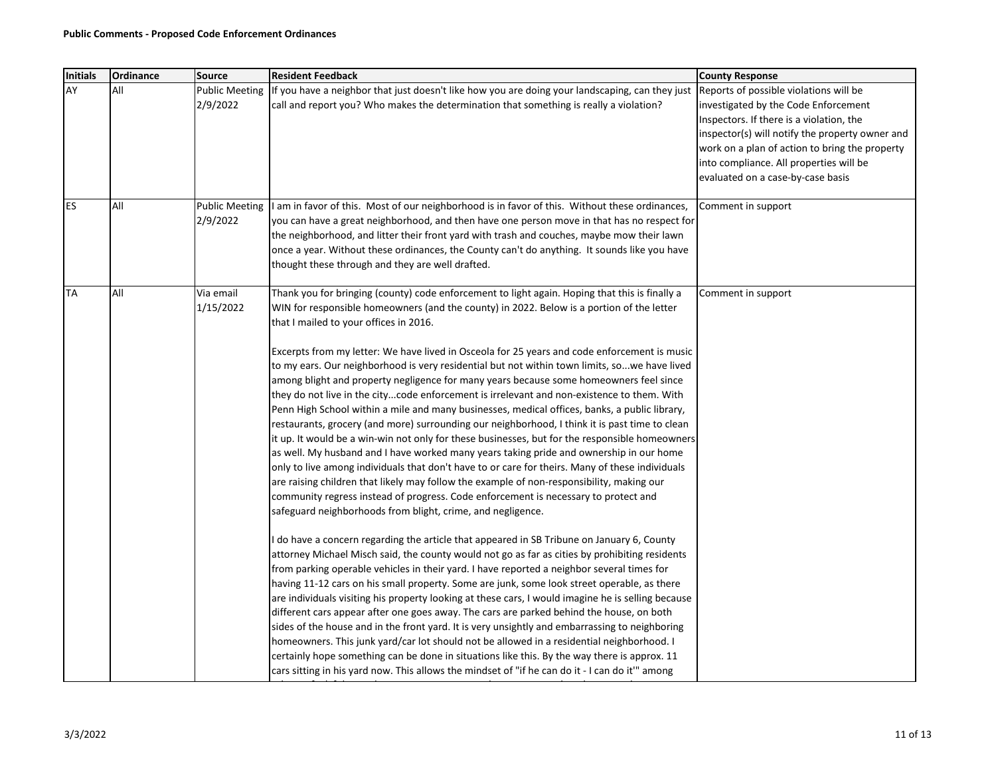| Initials  | Ordinance | <b>Source</b>                     | <b>Resident Feedback</b>                                                                                                                                                                       | <b>County Response</b>                                                           |
|-----------|-----------|-----------------------------------|------------------------------------------------------------------------------------------------------------------------------------------------------------------------------------------------|----------------------------------------------------------------------------------|
| AY        | All       | <b>Public Meeting</b>             | If you have a neighbor that just doesn't like how you are doing your landscaping, can they just                                                                                                | Reports of possible violations will be                                           |
|           |           | 2/9/2022                          | call and report you? Who makes the determination that something is really a violation?                                                                                                         | investigated by the Code Enforcement<br>Inspectors. If there is a violation, the |
|           |           |                                   |                                                                                                                                                                                                | inspector(s) will notify the property owner and                                  |
|           |           |                                   |                                                                                                                                                                                                | work on a plan of action to bring the property                                   |
|           |           |                                   |                                                                                                                                                                                                | into compliance. All properties will be                                          |
|           |           |                                   |                                                                                                                                                                                                | evaluated on a case-by-case basis                                                |
|           |           |                                   |                                                                                                                                                                                                |                                                                                  |
| ES        | All       | <b>Public Meeting</b><br>2/9/2022 | I am in favor of this. Most of our neighborhood is in favor of this. Without these ordinances,<br>you can have a great neighborhood, and then have one person move in that has no respect for  | Comment in support                                                               |
|           |           |                                   | the neighborhood, and litter their front yard with trash and couches, maybe mow their lawn                                                                                                     |                                                                                  |
|           |           |                                   | once a year. Without these ordinances, the County can't do anything. It sounds like you have                                                                                                   |                                                                                  |
|           |           |                                   | thought these through and they are well drafted.                                                                                                                                               |                                                                                  |
|           |           |                                   |                                                                                                                                                                                                |                                                                                  |
| <b>TA</b> | All       | Via email                         | Thank you for bringing (county) code enforcement to light again. Hoping that this is finally a                                                                                                 | Comment in support                                                               |
|           |           | 1/15/2022                         | WIN for responsible homeowners (and the county) in 2022. Below is a portion of the letter                                                                                                      |                                                                                  |
|           |           |                                   | that I mailed to your offices in 2016.                                                                                                                                                         |                                                                                  |
|           |           |                                   | Excerpts from my letter: We have lived in Osceola for 25 years and code enforcement is music                                                                                                   |                                                                                  |
|           |           |                                   | to my ears. Our neighborhood is very residential but not within town limits, sowe have lived                                                                                                   |                                                                                  |
|           |           |                                   | among blight and property negligence for many years because some homeowners feel since                                                                                                         |                                                                                  |
|           |           |                                   | they do not live in the citycode enforcement is irrelevant and non-existence to them. With                                                                                                     |                                                                                  |
|           |           |                                   | Penn High School within a mile and many businesses, medical offices, banks, a public library,                                                                                                  |                                                                                  |
|           |           |                                   | restaurants, grocery (and more) surrounding our neighborhood, I think it is past time to clean                                                                                                 |                                                                                  |
|           |           |                                   | it up. It would be a win-win not only for these businesses, but for the responsible homeowners                                                                                                 |                                                                                  |
|           |           |                                   | as well. My husband and I have worked many years taking pride and ownership in our home                                                                                                        |                                                                                  |
|           |           |                                   | only to live among individuals that don't have to or care for theirs. Many of these individuals                                                                                                |                                                                                  |
|           |           |                                   | are raising children that likely may follow the example of non-responsibility, making our                                                                                                      |                                                                                  |
|           |           |                                   | community regress instead of progress. Code enforcement is necessary to protect and<br>safeguard neighborhoods from blight, crime, and negligence.                                             |                                                                                  |
|           |           |                                   |                                                                                                                                                                                                |                                                                                  |
|           |           |                                   | I do have a concern regarding the article that appeared in SB Tribune on January 6, County                                                                                                     |                                                                                  |
|           |           |                                   | attorney Michael Misch said, the county would not go as far as cities by prohibiting residents                                                                                                 |                                                                                  |
|           |           |                                   | from parking operable vehicles in their yard. I have reported a neighbor several times for                                                                                                     |                                                                                  |
|           |           |                                   | having 11-12 cars on his small property. Some are junk, some look street operable, as there                                                                                                    |                                                                                  |
|           |           |                                   | are individuals visiting his property looking at these cars, I would imagine he is selling because                                                                                             |                                                                                  |
|           |           |                                   | different cars appear after one goes away. The cars are parked behind the house, on both                                                                                                       |                                                                                  |
|           |           |                                   | sides of the house and in the front yard. It is very unsightly and embarrassing to neighboring                                                                                                 |                                                                                  |
|           |           |                                   | homeowners. This junk yard/car lot should not be allowed in a residential neighborhood. I                                                                                                      |                                                                                  |
|           |           |                                   | certainly hope something can be done in situations like this. By the way there is approx. 11<br>cars sitting in his yard now. This allows the mindset of "if he can do it - I can do it" among |                                                                                  |
|           |           |                                   |                                                                                                                                                                                                |                                                                                  |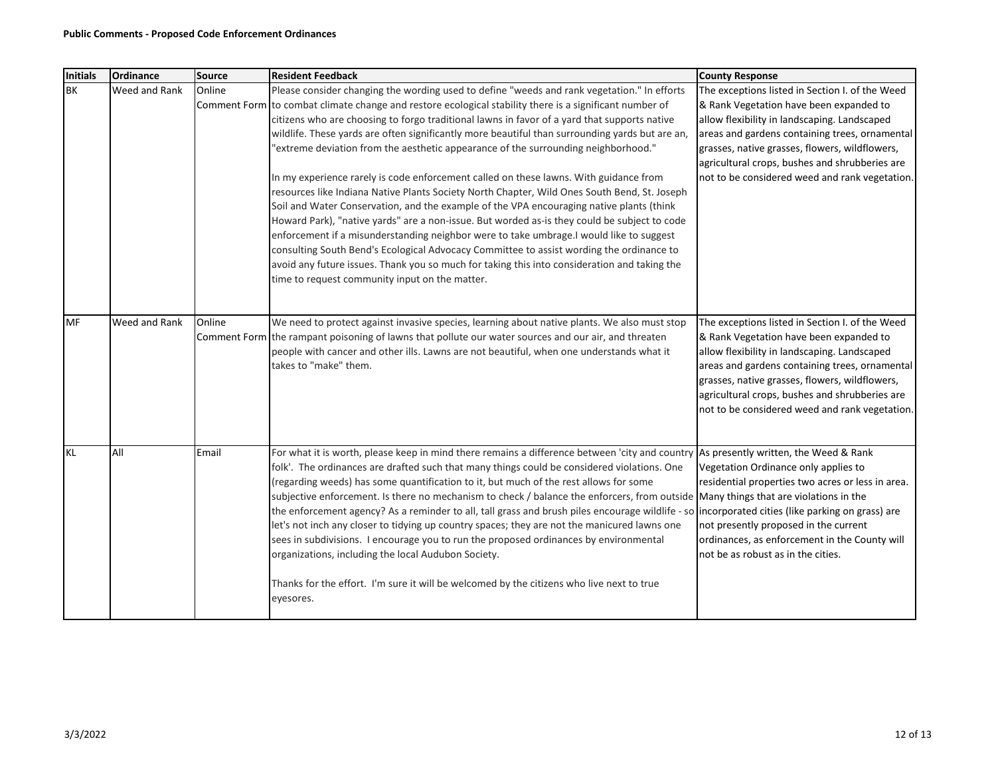| <b>Initials</b> | Ordinance     | Source | <b>Resident Feedback</b>                                                                                                                                                                                                                                                                                                                                                                                                                                                                                                                                                                                                                                                                                                                                                                                                                                                                                                                                                                                                                                                                                                                                                                                                      | <b>County Response</b>                                                                                                                                                                                                                                                                                                                             |
|-----------------|---------------|--------|-------------------------------------------------------------------------------------------------------------------------------------------------------------------------------------------------------------------------------------------------------------------------------------------------------------------------------------------------------------------------------------------------------------------------------------------------------------------------------------------------------------------------------------------------------------------------------------------------------------------------------------------------------------------------------------------------------------------------------------------------------------------------------------------------------------------------------------------------------------------------------------------------------------------------------------------------------------------------------------------------------------------------------------------------------------------------------------------------------------------------------------------------------------------------------------------------------------------------------|----------------------------------------------------------------------------------------------------------------------------------------------------------------------------------------------------------------------------------------------------------------------------------------------------------------------------------------------------|
| <b>BK</b>       | Weed and Rank | Online | Please consider changing the wording used to define "weeds and rank vegetation." In efforts<br>Comment Form to combat climate change and restore ecological stability there is a significant number of<br>citizens who are choosing to forgo traditional lawns in favor of a yard that supports native<br>wildlife. These yards are often significantly more beautiful than surrounding yards but are an,<br>'extreme deviation from the aesthetic appearance of the surrounding neighborhood."<br>In my experience rarely is code enforcement called on these lawns. With guidance from<br>resources like Indiana Native Plants Society North Chapter, Wild Ones South Bend, St. Joseph<br>Soil and Water Conservation, and the example of the VPA encouraging native plants (think<br>Howard Park), "native yards" are a non-issue. But worded as-is they could be subject to code<br>enforcement if a misunderstanding neighbor were to take umbrage.I would like to suggest<br>consulting South Bend's Ecological Advocacy Committee to assist wording the ordinance to<br>avoid any future issues. Thank you so much for taking this into consideration and taking the<br>time to request community input on the matter. | The exceptions listed in Section I. of the Weed<br>& Rank Vegetation have been expanded to<br>allow flexibility in landscaping. Landscaped<br>areas and gardens containing trees, ornamental<br>grasses, native grasses, flowers, wildflowers,<br>agricultural crops, bushes and shrubberies are<br>not to be considered weed and rank vegetation. |
| <b>MF</b>       | Weed and Rank | Online | We need to protect against invasive species, learning about native plants. We also must stop<br>Comment Form the rampant poisoning of lawns that pollute our water sources and our air, and threaten<br>people with cancer and other ills. Lawns are not beautiful, when one understands what it<br>takes to "make" them.                                                                                                                                                                                                                                                                                                                                                                                                                                                                                                                                                                                                                                                                                                                                                                                                                                                                                                     | The exceptions listed in Section I. of the Weed<br>& Rank Vegetation have been expanded to<br>allow flexibility in landscaping. Landscaped<br>areas and gardens containing trees, ornamental<br>grasses, native grasses, flowers, wildflowers,<br>agricultural crops, bushes and shrubberies are<br>not to be considered weed and rank vegetation. |
| <b>KL</b>       | All           | Email  | For what it is worth, please keep in mind there remains a difference between 'city and country As presently written, the Weed & Rank<br>folk'. The ordinances are drafted such that many things could be considered violations. One<br>(regarding weeds) has some quantification to it, but much of the rest allows for some<br>subjective enforcement. Is there no mechanism to check / balance the enforcers, from outside Many things that are violations in the<br>the enforcement agency? As a reminder to all, tall grass and brush piles encourage wildlife - so incorporated cities (like parking on grass) are<br>let's not inch any closer to tidying up country spaces; they are not the manicured lawns one<br>sees in subdivisions. I encourage you to run the proposed ordinances by environmental<br>organizations, including the local Audubon Society.<br>Thanks for the effort. I'm sure it will be welcomed by the citizens who live next to true<br>eyesores.                                                                                                                                                                                                                                             | Vegetation Ordinance only applies to<br>residential properties two acres or less in area.<br>not presently proposed in the current<br>ordinances, as enforcement in the County will<br>not be as robust as in the cities.                                                                                                                          |